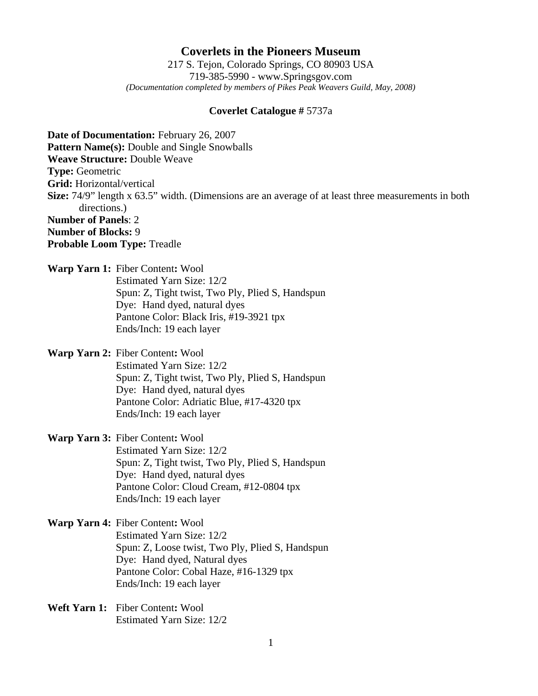## **Coverlets in the Pioneers Museum**

217 S. Tejon, Colorado Springs, CO 80903 USA 719-385-5990 - www.Springsgov.com *(Documentation completed by members of Pikes Peak Weavers Guild, May, 2008)* 

## **Coverlet Catalogue #** 5737a

**Date of Documentation:** February 26, 2007 **Pattern Name(s):** Double and Single Snowballs **Weave Structure:** Double Weave **Type:** Geometric **Grid:** Horizontal/vertical **Size:** 74/9" length x 63.5" width. (Dimensions are an average of at least three measurements in both directions.) **Number of Panels**: 2 **Number of Blocks:** 9 **Probable Loom Type:** Treadle

**Warp Yarn 1:** Fiber Content**:** Wool

 Estimated Yarn Size: 12/2 Spun: Z, Tight twist, Two Ply, Plied S, Handspun Dye: Hand dyed, natural dyes Pantone Color: Black Iris, #19-3921 tpx Ends/Inch: 19 each layer

**Warp Yarn 2:** Fiber Content**:** Wool

 Estimated Yarn Size: 12/2 Spun: Z, Tight twist, Two Ply, Plied S, Handspun Dye: Hand dyed, natural dyes Pantone Color: Adriatic Blue, #17-4320 tpx Ends/Inch: 19 each layer

**Warp Yarn 3:** Fiber Content**:** Wool

 Estimated Yarn Size: 12/2 Spun: Z, Tight twist, Two Ply, Plied S, Handspun Dye: Hand dyed, natural dyes Pantone Color: Cloud Cream, #12-0804 tpx Ends/Inch: 19 each layer

## **Warp Yarn 4:** Fiber Content**:** Wool Estimated Yarn Size: 12/2 Spun: Z, Loose twist, Two Ply, Plied S, Handspun Dye: Hand dyed, Natural dyes Pantone Color: Cobal Haze, #16-1329 tpx Ends/Inch: 19 each layer

**Weft Yarn 1:** Fiber Content**:** Wool Estimated Yarn Size: 12/2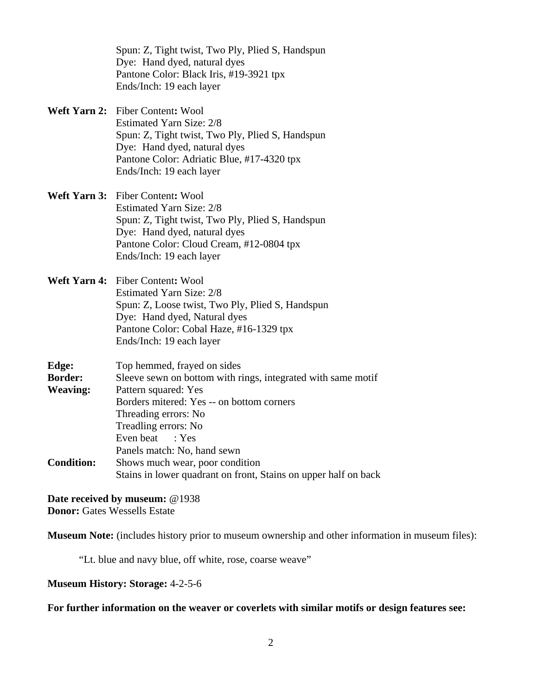Spun: Z, Tight twist, Two Ply, Plied S, Handspun Dye: Hand dyed, natural dyes Pantone Color: Black Iris, #19-3921 tpx Ends/Inch: 19 each layer

**Weft Yarn 2:** Fiber Content**:** Wool Estimated Yarn Size: 2/8 Spun: Z, Tight twist, Two Ply, Plied S, Handspun Dye: Hand dyed, natural dyes Pantone Color: Adriatic Blue, #17-4320 tpx Ends/Inch: 19 each layer

**Weft Yarn 3:** Fiber Content**:** Wool Estimated Yarn Size: 2/8 Spun: Z, Tight twist, Two Ply, Plied S, Handspun Dye: Hand dyed, natural dyes Pantone Color: Cloud Cream, #12-0804 tpx Ends/Inch: 19 each layer

**Weft Yarn 4:** Fiber Content**:** Wool Estimated Yarn Size: 2/8 Spun: Z, Loose twist, Two Ply, Plied S, Handspun Dye: Hand dyed, Natural dyes Pantone Color: Cobal Haze, #16-1329 tpx Ends/Inch: 19 each layer

| Edge:             | Top hemmed, frayed on sides                                     |
|-------------------|-----------------------------------------------------------------|
| <b>Border:</b>    | Sleeve sewn on bottom with rings, integrated with same motif    |
| <b>Weaving:</b>   | Pattern squared: Yes                                            |
|                   | Borders mitered: Yes -- on bottom corners                       |
|                   | Threading errors: No                                            |
|                   | Treadling errors: No                                            |
|                   | Even beat : Yes                                                 |
|                   | Panels match: No, hand sewn                                     |
| <b>Condition:</b> | Shows much wear, poor condition                                 |
|                   | Stains in lower quadrant on front, Stains on upper half on back |

**Date received by museum:** @1938 **Donor:** Gates Wessells Estate

**Museum Note:** (includes history prior to museum ownership and other information in museum files):

"Lt. blue and navy blue, off white, rose, coarse weave"

**Museum History: Storage:** 4-2-5-6

**For further information on the weaver or coverlets with similar motifs or design features see:**